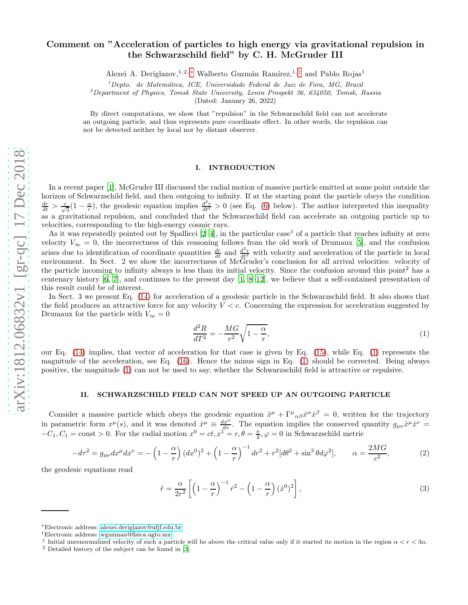# arXiv:1812.06832v1 [gr-qc] 17 Dec 2018 [arXiv:1812.06832v1 \[gr-qc\] 17 Dec 2018](http://arxiv.org/abs/1812.06832v1)

# Comment on "Acceleration of particles to high energy via gravitational repulsion in the Schwarzschild field" by C. H. McGruder III

Alexei A. Deriglazov,<sup>1,2,\*</sup> Walberto Guzmán Ramírez,<sup>1,[†](#page-0-1)</sup> and Pablo Rojas<sup>1</sup>

 $1$ Depto. de Matemática, ICE, Universidade Federal de Juiz de Fora, MG, Brazil

 $^{2}$ Department of Physics, Tomsk State University, Lenin Prospekt 36, 634050, Tomsk, Russia

(Dated: January 26, 2022)

By direct computations, we show that "repulsion" in the Schwarzschild field can not accelerate an outgoing particle, and thus represents pure coordinate effect. In other words, the repulsion can not be detected neither by local nor by distant observer.

# I. INTRODUCTION

In a recent paper [\[1](#page-3-0)], McGruder III discussed the radial motion of massive particle emitted at some point outside the horizon of Schwarzschild field, and then outgoing to infinity. If at the starting point the particle obeys the condition  $\frac{dr}{dt} > \frac{c}{\sqrt{3}}(1-\frac{\alpha}{r}),$  the geodesic equation implies  $\frac{d^2r}{dt^2} > 0$  (see Eq. [\(6\)](#page-1-0) below). The author interpreted this inequality as a gravitational repulsion, and concluded that the Schwarzschild field can accelerate an outgoing particle up to velocities, corresponding to the high-energy cosmic rays.

As it was repeatedly pointed out by Spallicci [\[2](#page-3-1)[–4](#page-3-2)], in the particular case<sup>1</sup> of a particle that reaches infinity at zero velocity  $V_{\infty} = 0$ , the incorrectness of this reasoning follows from the old work of Drumaux [\[5](#page-3-3)], and the confusion arises due to identification of coordinate quantities  $\frac{dr}{dt}$  and  $\frac{d^2r}{dt^2}$  with velocity and acceleration of the particle in local environment. In Sect. 2 we show the incorrectness of McGruder's conclusion for all arrival velocities: velocity of the particle incoming to infinity always is less than its initial velocity. Since the confusion around this point<sup>2</sup> has a centenary history [\[6,](#page-3-4) [7](#page-3-5)], and continues to the present day [\[1,](#page-3-0) [8](#page-3-6)[–12](#page-3-7)], we believe that a self-contained presentation of this result could be of interest.

In Sect. 3 we present Eq. [\(14\)](#page-2-0) for acceleration of a geodesic particle in the Schwarzschild field. It also shows that the field produces an attractive force for any velocity  $V < c$ . Concerning the expression for acceleration suggested by Drumaux for the particle with  $V_{\infty} = 0$ 

<span id="page-0-2"></span>
$$
\frac{d^2R}{dT^2} = -\frac{MG}{r^2}\sqrt{1-\frac{\alpha}{r}},\tag{1}
$$

our Eq. [\(14\)](#page-2-0) implies, that vector of acceleration for that case is given by Eq. [\(15\)](#page-2-1), while Eq. [\(1\)](#page-0-2) represents the magnitude of the acceleration, see Eq. [\(16\)](#page-3-8). Hence the minus sign in Eq. [\(1\)](#page-0-2) should be corrected. Being always positive, the magnitude [\(1\)](#page-0-2) can not be used to say, whether the Schwarzschild field is attractive or repulsive.

## II. SCHWARZSCHILD FIELD CAN NOT SPEED UP AN OUTGOING PARTICLE

Consider a massive particle which obeys the geodesic equation  $\ddot{x}^{\mu} + \Gamma^{\mu}{}_{\alpha\beta}\dot{x}^{\alpha}\dot{x}^{\beta} = 0$ , written for the trajectory in parametric form  $x^{\mu}(s)$ , and it was denoted  $\dot{x}^{\mu} \equiv \frac{dx^{\mu}}{ds}$ . The equation implies the conserved quantity  $g_{\mu\nu}\dot{x}^{\mu}\dot{x}^{\nu} =$  $-C_1, C_1 = \text{const} > 0$ . For the radial motion  $x^0 = ct, x^1 = r, \theta = \frac{\pi}{2}, \varphi = 0$  in Schwarzschild metric

$$
-d\tau^2 = g_{\mu\nu}dx^{\mu}dx^{\nu} = -\left(1 - \frac{\alpha}{r}\right)(dx^0)^2 + \left(1 - \frac{\alpha}{r}\right)^{-1}dr^2 + r^2[d\theta^2 + \sin^2\theta d\varphi^2], \qquad \alpha = \frac{2MG}{c^2},\tag{2}
$$

the geodesic equations read

<span id="page-0-3"></span>
$$
\ddot{r} = \frac{\alpha}{2r^2} \left[ \left( 1 - \frac{\alpha}{r} \right)^{-1} \dot{r}^2 - \left( 1 - \frac{\alpha}{r} \right) (\dot{x}^0)^2 \right],\tag{3}
$$

<span id="page-0-0"></span><sup>∗</sup>Electronic address: [alexei.deriglazov@ufjf.edu.br](mailto:alexei.deriglazov@ufjf.edu.br)

<span id="page-0-1"></span><sup>†</sup>Electronic address: [wguzman@fisica.ugto.mx](mailto:wguzman@fisica.ugto.mx)

<sup>&</sup>lt;sup>1</sup> Initial unrenormalized velocity of such a particle will be above the critical value only if it started its motion in the region  $\alpha < r < 3\alpha$ .

<sup>2</sup> Detailed history of the subject can be found in [\[3\]](#page-3-9).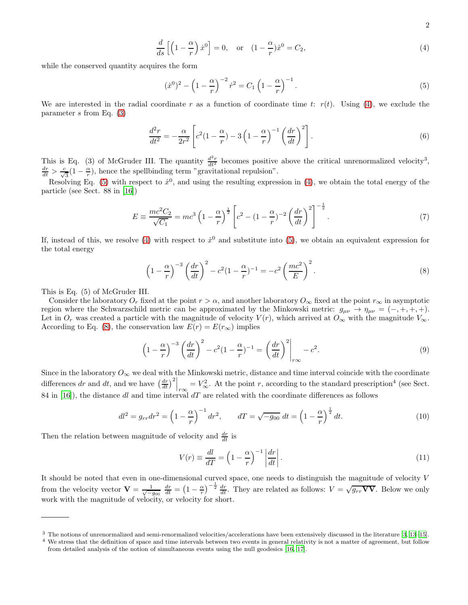2

<span id="page-1-1"></span>
$$
\frac{d}{ds}\left[\left(1-\frac{\alpha}{r}\right)\dot{x}^0\right] = 0, \quad \text{or} \quad (1-\frac{\alpha}{r})\dot{x}^0 = C_2,\tag{4}
$$

while the conserved quantity acquires the form

<span id="page-1-2"></span>
$$
(\dot{x}^0)^2 - \left(1 - \frac{\alpha}{r}\right)^{-2} \dot{r}^2 = C_1 \left(1 - \frac{\alpha}{r}\right)^{-1}.
$$
\n(5)

We are interested in the radial coordinate r as a function of coordinate time t:  $r(t)$ . Using [\(4\)](#page-1-1), we exclude the parameter  $s$  from Eq.  $(3)$ 

<span id="page-1-0"></span>
$$
\frac{d^2r}{dt^2} = -\frac{\alpha}{2r^2} \left[ c^2 (1 - \frac{\alpha}{r}) - 3 \left( 1 - \frac{\alpha}{r} \right)^{-1} \left( \frac{dr}{dt} \right)^2 \right].
$$
\n(6)

This is Eq. (3) of McGruder III. The quantity  $\frac{d^2r}{dt^2}$  becomes positive above the critical unrenormalized velocity<sup>3</sup>,  $\frac{dr}{dt} > \frac{c}{\sqrt{3}}(1 - \frac{\alpha}{r}),$  hence the spellbinding term "gravitational repulsion".

Resolving Eq. [\(5\)](#page-1-2) with respect to  $\dot{x}^0$ , and using the resulting expression in [\(4\)](#page-1-1), we obtain the total energy of the particle (see Sect. 88 in [\[16](#page-3-10)])

$$
E = \frac{mc^2 C_2}{\sqrt{C_1}} = mc^3 \left(1 - \frac{\alpha}{r}\right)^{\frac{1}{2}} \left[c^2 - (1 - \frac{\alpha}{r})^{-2} \left(\frac{dr}{dt}\right)^2\right]^{-\frac{1}{2}}.
$$
 (7)

If, instead of this, we resolve [\(4\)](#page-1-1) with respect to  $\dot{x}^0$  and substitute into [\(5\)](#page-1-2), we obtain an equivalent expression for the total energy

<span id="page-1-3"></span>
$$
\left(1 - \frac{\alpha}{r}\right)^{-3} \left(\frac{dr}{dt}\right)^2 - c^2 (1 - \frac{\alpha}{r})^{-1} = -c^2 \left(\frac{mc^2}{E}\right)^2.
$$
\n(8)

This is Eq. (5) of McGruder III.

Consider the laboratory  $O_r$  fixed at the point  $r > \alpha$ , and another laboratory  $O_{\infty}$  fixed at the point  $r_{\infty}$  in asymptotic region where the Schwarzschild metric can be approximated by the Minkowski metric:  $g_{\mu\nu} \to \eta_{\mu\nu} = (-, +, +, +).$ Let in  $O_r$  was created a particle with the magnitude of velocity  $V(r)$ , which arrived at  $O_{\infty}$  with the magnitude  $V_{\infty}$ . According to Eq. [\(8\)](#page-1-3), the conservation law  $E(r) = E(r_{\infty})$  implies

<span id="page-1-4"></span>
$$
\left(1 - \frac{\alpha}{r}\right)^{-3} \left(\frac{dr}{dt}\right)^2 - c^2 (1 - \frac{\alpha}{r})^{-1} = \left(\frac{dr}{dt}\right)^2 \bigg|_{r\infty} - c^2. \tag{9}
$$

Since in the laboratory  $O_{\infty}$  we deal with the Minkowski metric, distance and time interval coincide with the coordinate differences dr and dt, and we have  $\left(\frac{dr}{dt}\right)^2\Big|_{r\infty}$  $= V_{\infty}^2$ . At the point r, according to the standard prescription<sup>4</sup> (see Sect. 84 in [\[16\]](#page-3-10)), the distance dl and time interval  $dT$  are related with the coordinate differences as follows

<span id="page-1-5"></span>
$$
dl^{2} = g_{rr} dr^{2} = \left(1 - \frac{\alpha}{r}\right)^{-1} dr^{2}, \qquad dT = \sqrt{-g_{00}} dt = \left(1 - \frac{\alpha}{r}\right)^{\frac{1}{2}} dt. \tag{10}
$$

Then the relation between magnitude of velocity and  $\frac{dr}{dt}$  is

$$
V(r) \equiv \frac{dl}{dT} = \left(1 - \frac{\alpha}{r}\right)^{-1} \left|\frac{dr}{dt}\right|.
$$
\n(11)

It should be noted that even in one-dimensional curved space, one needs to distinguish the magnitude of velocity V from the velocity vector  $\mathbf{V} = \frac{1}{\sqrt{-g_{00}}} \frac{dr}{dt} = \left(1 - \frac{\alpha}{r}\right)^{-\frac{1}{2}} \frac{dr}{dt}$ . They are related as follows:  $V = \sqrt{g_{rr} \mathbf{V} \mathbf{V}}$ . Below we only work with the magnitude of velocity, or velocity for short.

<sup>3</sup> The notions of unrenormalized and semi-renormalized velocities/accelerations have been extensively discussed in the literature [\[3,](#page-3-9) [13](#page-3-11)[–15](#page-3-12)].

<sup>&</sup>lt;sup>4</sup> We stress that the definition of space and time intervals between two events in general relativity is not a matter of agreement, but follow from detailed analysis of the notion of simultaneous events using the null geodesics [\[16,](#page-3-10) [17](#page-3-13)].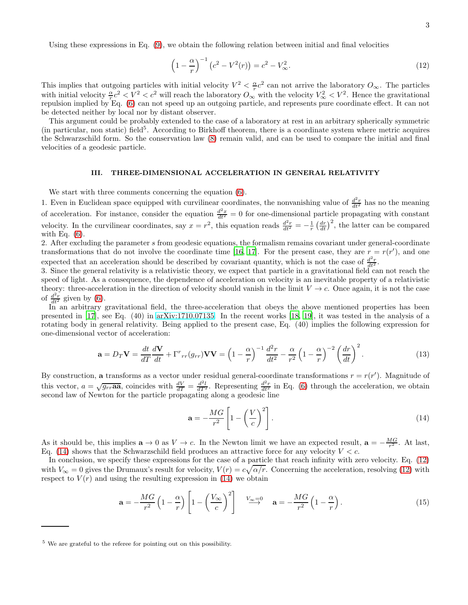Using these expressions in Eq. [\(9\)](#page-1-4), we obtain the following relation between initial and final velocities

<span id="page-2-2"></span>
$$
\left(1 - \frac{\alpha}{r}\right)^{-1} \left(c^2 - V^2(r)\right) = c^2 - V^2_{\infty}.
$$
\n(12)

This implies that outgoing particles with initial velocity  $V^2 < \frac{\alpha}{r}c^2$  can not arrive the laboratory  $O_{\infty}$ . The particles This initial velocity  $\frac{\alpha_c}{r}c^2 < V^2 < c^2$  will reach the laboratory  $O_{\infty}$  with the velocity  $V^2_{\infty} < V^2$ . Hence the gravitational repulsion implied by Eq. [\(6\)](#page-1-0) can not speed up an outgoing particle, and represents pure coordinate effect. It can not be detected neither by local nor by distant observer.

This argument could be probably extended to the case of a laboratory at rest in an arbitrary spherically symmetric (in particular, non static) field<sup>5</sup>. According to Birkhoff theorem, there is a coordinate system where metric acquires the Schwarzschild form. So the conservation law [\(8\)](#page-1-3) remain valid, and can be used to compare the initial and final velocities of a geodesic particle.

## III. THREE-DIMENSIONAL ACCELERATION IN GENERAL RELATIVITY

We start with three comments concerning the equation [\(6\)](#page-1-0).

1. Even in Euclidean space equipped with curvilinear coordinates, the nonvanishing value of  $\frac{d^2r}{dt^2}$  has no the meaning of acceleration. For instance, consider the equation  $\frac{d^2x}{dt^2} = 0$  for one-dimensional particle propagating with constant velocity. In the curvilinear coordinates, say  $x = r^2$ , this equation reads  $\frac{d^2r}{dt^2} = -\frac{1}{r} \left(\frac{dr}{dt}\right)^2$ , the latter can be compared with Eq.  $(6)$ .

2. After excluding the parameter s from geodesic equations, the formalism remains covariant under general-coordinate transformations that do not involve the coordinate time [\[16,](#page-3-10) [17](#page-3-13)]. For the present case, they are  $r = r(r')$ , and one expected that an acceleration should be described by covariant quantity, which is not the case of  $\frac{d^2r}{dt^2}$ .

3. Since the general relativity is a relativistic theory, we expect that particle in a gravitational field can not reach the speed of light. As a consequence, the dependence of acceleration on velocity is an inevitable property of a relativistic theory: three-acceleration in the direction of velocity should vanish in the limit  $V \to c$ . Once again, it is not the case of  $\frac{d^2r}{dt^2}$  given by [\(6\)](#page-1-0).

In an arbitrary gravitational field, the three-acceleration that obeys the above mentioned properties has been presented in [\[17](#page-3-13)], see Eq. (40) in [arXiv:1710.07135.](http://arxiv.org/abs/1710.07135) In the recent works [\[18,](#page-3-14) [19\]](#page-3-15), it was tested in the analysis of a rotating body in general relativity. Being applied to the present case, Eq. (40) implies the following expression for one-dimensional vector of acceleration:

$$
\mathbf{a} = D_T \mathbf{V} = \frac{dt}{dT} \frac{d\mathbf{V}}{dt} + \Gamma^r{}_{rr}(g_{rr}) \mathbf{V} \mathbf{V} = \left(1 - \frac{\alpha}{r}\right)^{-1} \frac{d^2r}{dt^2} - \frac{\alpha}{r^2} \left(1 - \frac{\alpha}{r}\right)^{-2} \left(\frac{dr}{dt}\right)^2.
$$
 (13)

By construction, a transforms as a vector under residual general-coordinate transformations  $r = r(r')$ . Magnitude of this vector,  $a = \sqrt{g_{rr}\mathbf{aa}}$ , coincides with  $\frac{dV}{dT} = \frac{d^2l}{dT^2}$ . Representing  $\frac{d^2r}{dt^2}$  in Eq. [\(6\)](#page-1-0) through the acceleration, we obtain second law of Newton for the particle propagating along a geodesic line

<span id="page-2-0"></span>
$$
\mathbf{a} = -\frac{MG}{r^2} \left[ 1 - \left(\frac{V}{c}\right)^2 \right].
$$
 (14)

As it should be, this implies  $\mathbf{a} \to 0$  as  $V \to c$ . In the Newton limit we have an expected result,  $\mathbf{a} = -\frac{MG}{r^2}$ . At last, Eq. [\(14\)](#page-2-0) shows that the Schwarzschild field produces an attractive force for any velocity  $V < c$ .

In conclusion, we specify these expressions for the case of a particle that reach infinity with zero velocity. Eq. [\(12\)](#page-2-2) with  $V_{\infty} = 0$  gives the Drumaux's result for velocity,  $V(r) = c\sqrt{\alpha/r}$ . Concerning the acceleration, resolving [\(12\)](#page-2-2) with respect to  $V(r)$  and using the resulting expression in [\(14\)](#page-2-0) we obtain

<span id="page-2-1"></span>
$$
\mathbf{a} = -\frac{MG}{r^2} \left( 1 - \frac{\alpha}{r} \right) \left[ 1 - \left( \frac{V_{\infty}}{c} \right)^2 \right] \xrightarrow{V_{\infty} = 0} \mathbf{a} = -\frac{MG}{r^2} \left( 1 - \frac{\alpha}{r} \right). \tag{15}
$$

<sup>5</sup> We are grateful to the referee for pointing out on this possibility.